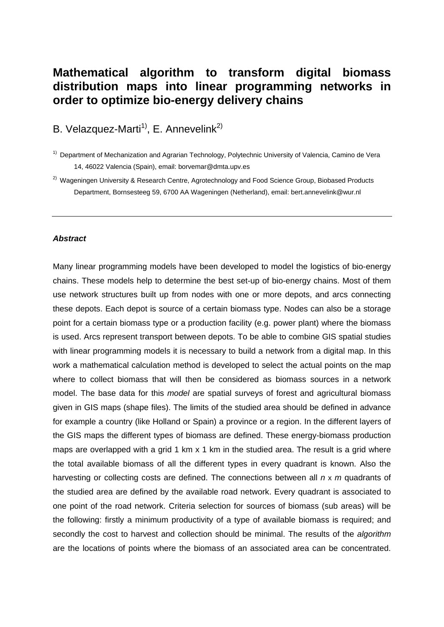# **Mathematical algorithm to transform digital biomass distribution maps into linear programming networks in order to optimize bio-energy delivery chains**

B. Velazquez-Marti<sup>1)</sup>, E. Annevelink<sup>2)</sup>

<sup>2)</sup> Wageningen University & Research Centre, Agrotechnology and Food Science Group, Biobased Products Department, Bornsesteeg 59, 6700 AA Wageningen (Netherland), email: bert.annevelink@wur.nl

#### *Abstract*

Many linear programming models have been developed to model the logistics of bio-energy chains. These models help to determine the best set-up of bio-energy chains. Most of them use network structures built up from nodes with one or more depots, and arcs connecting these depots. Each depot is source of a certain biomass type. Nodes can also be a storage point for a certain biomass type or a production facility (e.g. power plant) where the biomass is used. Arcs represent transport between depots. To be able to combine GIS spatial studies with linear programming models it is necessary to build a network from a digital map. In this work a mathematical calculation method is developed to select the actual points on the map where to collect biomass that will then be considered as biomass sources in a network model. The base data for this *model* are spatial surveys of forest and agricultural biomass given in GIS maps (shape files). The limits of the studied area should be defined in advance for example a country (like Holland or Spain) a province or a region. In the different layers of the GIS maps the different types of biomass are defined. These energy-biomass production maps are overlapped with a grid 1 km x 1 km in the studied area. The result is a grid where the total available biomass of all the different types in every quadrant is known. Also the harvesting or collecting costs are defined. The connections between all *n* x *m* quadrants of the studied area are defined by the available road network. Every quadrant is associated to one point of the road network. Criteria selection for sources of biomass (sub areas) will be the following: firstly a minimum productivity of a type of available biomass is required; and secondly the cost to harvest and collection should be minimal. The results of the *algorithm* are the locations of points where the biomass of an associated area can be concentrated.

<sup>&</sup>lt;sup>1)</sup> Department of Mechanization and Agrarian Technology, Polytechnic University of Valencia, Camino de Vera 14, 46022 Valencia (Spain), email: borvemar@dmta.upv.es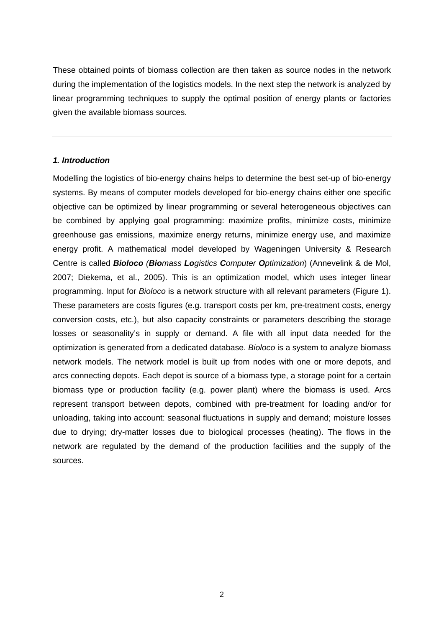These obtained points of biomass collection are then taken as source nodes in the network during the implementation of the logistics models. In the next step the network is analyzed by linear programming techniques to supply the optimal position of energy plants or factories given the available biomass sources.

# *1. Introduction*

Modelling the logistics of bio-energy chains helps to determine the best set-up of bio-energy systems. By means of computer models developed for bio-energy chains either one specific objective can be optimized by linear programming or several heterogeneous objectives can be combined by applying goal programming: maximize profits, minimize costs, minimize greenhouse gas emissions, maximize energy returns, minimize energy use, and maximize energy profit. A mathematical model developed by Wageningen University & Research Centre is called *Bioloco (Biomass Logistics Computer Optimization*) (Annevelink & de Mol, 2007; Diekema, et al., 2005). This is an optimization model, which uses integer linear programming. Input for *Bioloco* is a network structure with all relevant parameters (Figure 1). These parameters are costs figures (e.g. transport costs per km, pre-treatment costs, energy conversion costs, etc.), but also capacity constraints or parameters describing the storage losses or seasonality's in supply or demand. A file with all input data needed for the optimization is generated from a dedicated database. *Bioloco* is a system to analyze biomass network models. The network model is built up from nodes with one or more depots, and arcs connecting depots. Each depot is source of a biomass type, a storage point for a certain biomass type or production facility (e.g. power plant) where the biomass is used. Arcs represent transport between depots, combined with pre-treatment for loading and/or for unloading, taking into account: seasonal fluctuations in supply and demand; moisture losses due to drying; dry-matter losses due to biological processes (heating). The flows in the network are regulated by the demand of the production facilities and the supply of the sources.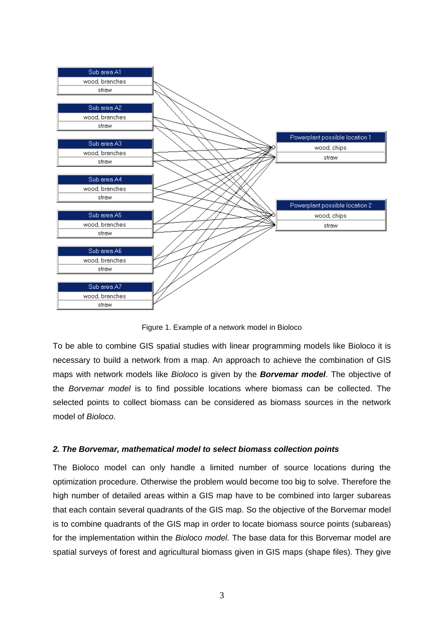

Figure 1. Example of a network model in Bioloco

To be able to combine GIS spatial studies with linear programming models like Bioloco it is necessary to build a network from a map. An approach to achieve the combination of GIS maps with network models like *Bioloco* is given by the *Borvemar model*. The objective of the *Borvemar model* is to find possible locations where biomass can be collected. The selected points to collect biomass can be considered as biomass sources in the network model of *Bioloco*.

## *2. The Borvemar, mathematical model to select biomass collection points*

The Bioloco model can only handle a limited number of source locations during the optimization procedure. Otherwise the problem would become too big to solve. Therefore the high number of detailed areas within a GIS map have to be combined into larger subareas that each contain several quadrants of the GIS map. So the objective of the Borvemar model is to combine quadrants of the GIS map in order to locate biomass source points (subareas) for the implementation within the *Bioloco model.* The base data for this Borvemar model are spatial surveys of forest and agricultural biomass given in GIS maps (shape files). They give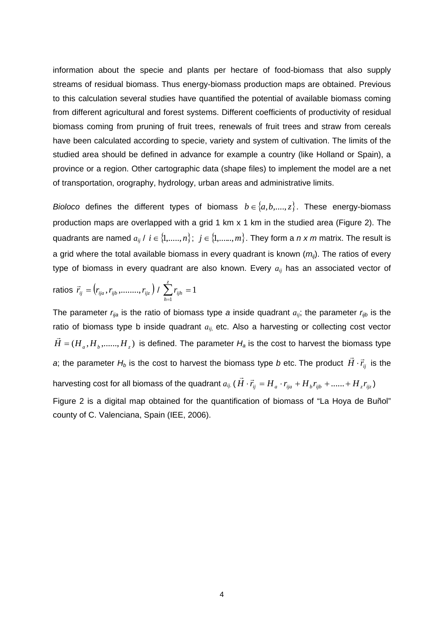information about the specie and plants per hectare of food-biomass that also supply streams of residual biomass. Thus energy-biomass production maps are obtained. Previous to this calculation several studies have quantified the potential of available biomass coming from different agricultural and forest systems. Different coefficients of productivity of residual biomass coming from pruning of fruit trees, renewals of fruit trees and straw from cereals have been calculated according to specie, variety and system of cultivation. The limits of the studied area should be defined in advance for example a country (like Holland or Spain), a province or a region. Other cartographic data (shape files) to implement the model are a net of transportation, orography, hydrology, urban areas and administrative limits.

*Bioloco* defines the different types of biomass  $b \in \{a, b, ..., z\}$ . These energy-biomass production maps are overlapped with a grid 1 km x 1 km in the studied area (Figure 2). The quadrants are named  $a_{ij}$  /  $i \in \{1, \ldots, n\}; j \in \{1, \ldots, m\}$ . They form a *n x m* matrix. The result is a grid where the total available biomass in every quadrant is known  $(m_{ii})$ . The ratios of every type of biomass in every quadrant are also known. Every *aij* has an associated vector of

$$
\text{ratios } \vec{r}_{ij} = (r_{ija}, r_{ijb}, \dots, r_{ijz}) / \sum_{h=1}^{z} r_{ijh} = 1
$$

The parameter  $r_{ij}$  is the ratio of biomass type *a* inside quadrant  $a_{ij}$ ; the parameter  $r_{ijb}$  is the ratio of biomass type b inside quadrant  $a_{ij}$ , etc. Also a harvesting or collecting cost vector  $\vec{H}$  = ( $H_a$ , $H_b$ ,......, $H_z$ ) is defined. The parameter  $H_a$  is the cost to harvest the biomass type *a*; the parameter  $H_b$  is the cost to harvest the biomass type *b* etc. The product  $\vec{H} \cdot \vec{r}_{ij}$  is the harvesting cost for all biomass of the quadrant  $a_{ij}$  ( $\vec{H}\cdot\vec{r}_{ij}=H_a\cdot r_{ija}+H_b r_{iib}+......+H_z r_{iiz}$ ) Figure 2 is a digital map obtained for the quantification of biomass of "La Hoya de Buñol"

county of C. Valenciana, Spain (IEE, 2006).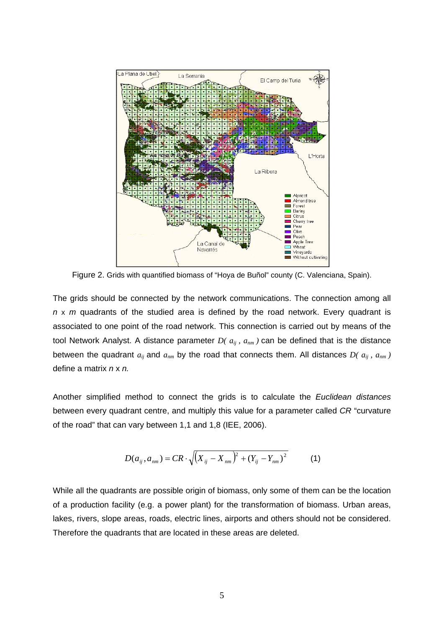

Figure 2. Grids with quantified biomass of "Hoya de Buñol" county (C. Valenciana, Spain).

The grids should be connected by the network communications. The connection among all *n* x *m* quadrants of the studied area is defined by the road network. Every quadrant is associated to one point of the road network. This connection is carried out by means of the tool Network Analyst. A distance parameter  $D(a_{ij}, a_{nm})$  can be defined that is the distance between the quadrant  $a_{ij}$  and  $a_{nm}$  by the road that connects them. All distances  $D(a_{ij}, a_{nm})$ define a matrix *n* x *n.*

Another simplified method to connect the grids is to calculate the *Euclidean distances* between every quadrant centre, and multiply this value for a parameter called *CR* "curvature of the road" that can vary between 1,1 and 1,8 (IEE, 2006).

$$
D(a_{ij}, a_{nm}) = CR \cdot \sqrt{(X_{ij} - X_{nm})^2 + (Y_{ij} - Y_{nm})^2}
$$
 (1)

While all the quadrants are possible origin of biomass, only some of them can be the location of a production facility (e.g. a power plant) for the transformation of biomass. Urban areas, lakes, rivers, slope areas, roads, electric lines, airports and others should not be considered. Therefore the quadrants that are located in these areas are deleted.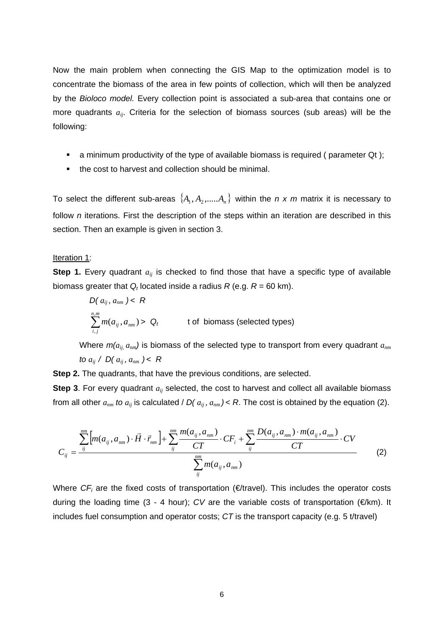Now the main problem when connecting the GIS Map to the optimization model is to concentrate the biomass of the area in few points of collection, which will then be analyzed by the *Bioloco model.* Every collection point is associated a sub-area that contains one or more quadrants *aij*. Criteria for the selection of biomass sources (sub areas) will be the following:

- a minimum productivity of the type of available biomass is required ( parameter Qt );
- the cost to harvest and collection should be minimal.

To select the different sub-areas  $\{A_1, A_2, \dots A_n\}$  within the *n x m* matrix it is necessary to follow *n* iterations. First the description of the steps within an iteration are described in this section. Then an example is given in section 3.

#### Iteration 1:

**Step 1.** Every quadrant  $a_{ij}$  is checked to find those that have a specific type of available biomass greater that  $Q_t$  located inside a radius  $R$  (e.g.  $R = 60$  km).

$$
D(a_{ij}, a_{nm}) < R
$$
\n
$$
\sum_{i,j}^{n,m} m(a_{ij}, a_{nm}) > Q_t \qquad \text{to 6 bionass (selected types)}
$$

Where  $m(a_{ij}, a_{nm})$  is biomass of the selected type to transport from every quadrant  $a_{nm}$ *to*  $a_{ij}$  /  $D(a_{ij}, a_{nm}) < R$ 

**Step 2.** The quadrants, that have the previous conditions, are selected.

**Step 3**. For every quadrant  $a_{ii}$  selected, the cost to harvest and collect all available biomass from all other  $a_{nm}$  to  $a_{ij}$  is calculated /  $D(a_{ij}, a_{nm}) < R$ . The cost is obtained by the equation (2).

$$
C_{ij} = \frac{\sum_{ij}^{nm} [m(a_{ij}, a_{nm}) \cdot \vec{H} \cdot \vec{r}_{nm}] + \sum_{ij}^{nm} \frac{m(a_{ij}, a_{nm})}{CT} \cdot CF_i + \sum_{ij}^{nm} \frac{D(a_{ij}, a_{nm}) \cdot m(a_{ij}, a_{nm})}{CT} \cdot CV}{\sum_{ij}^{nm} m(a_{ij}, a_{nm})}
$$
(2)

Where  $CF_i$  are the fixed costs of transportation ( $E$ travel). This includes the operator costs during the loading time (3 - 4 hour); *CV* are the variable costs of transportation (€/km). It includes fuel consumption and operator costs; *CT* is the transport capacity (e.g. 5 t/travel)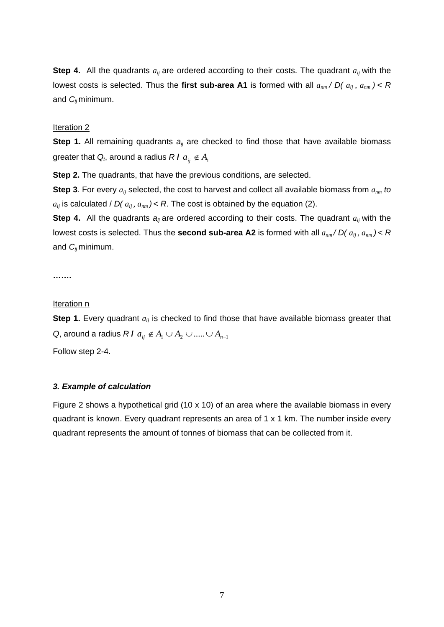**Step 4.** All the quadrants  $a_{ij}$  are ordered according to their costs. The quadrant  $a_{ij}$  with the lowest costs is selected. Thus the first sub-area A1 is formed with all  $a_{nm}$  /  $D(a_{ij}, a_{nm}) < R$ and *Cij* minimum.

# Iteration 2

**Step 1.** All remaining quadrants  $a_{ij}$  are checked to find those that have available biomass greater that  $Q_t$ , around a radius  $R I a_{ij} \notin A_1$ 

**Step 2.** The quadrants, that have the previous conditions, are selected.

**Step 3**. For every *aij* selected, the cost to harvest and collect all available biomass from *anm to*   $a_{ij}$  is calculated /  $D(a_{ij}, a_{nm})$  < R. The cost is obtained by the equation (2).

**Step 4.** All the quadrants  $a_{ij}$  are ordered according to their costs. The quadrant  $a_{ij}$  with the lowest costs is selected. Thus the **second sub-area A2** is formed with all  $a_{nm}$  /  $D(a_{ij}, a_{nm}) < R$ and *Cij* minimum.

**…….** 

#### Iteration n

**Step 1.** Every quadrant  $a_{ij}$  is checked to find those that have available biomass greater that *Q*, around a radius *R***I**  $a_{ii} \notin A_1 \cup A_2 \cup \dots \cup A_{n-1}$ 

Follow step 2-4.

## *3. Example of calculation*

Figure 2 shows a hypothetical grid (10 x 10) of an area where the available biomass in every quadrant is known. Every quadrant represents an area of 1 x 1 km. The number inside every quadrant represents the amount of tonnes of biomass that can be collected from it.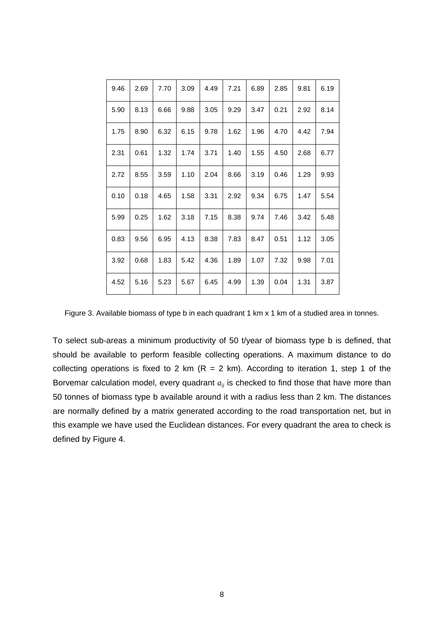| 9.46 | 2.69 | 7.70 | 3.09 | 4.49 | 7.21 | 6.89 | 2.85 | 9.81 | 6.19 |
|------|------|------|------|------|------|------|------|------|------|
| 5.90 | 8.13 | 6.66 | 9.88 | 3.05 | 9.29 | 3.47 | 0.21 | 2.92 | 8.14 |
| 1.75 | 8.90 | 6.32 | 6.15 | 9.78 | 1.62 | 1.96 | 4.70 | 4.42 | 7.94 |
| 2.31 | 0.61 | 1.32 | 1.74 | 3.71 | 1.40 | 1.55 | 4.50 | 2.68 | 6.77 |
| 2.72 | 8.55 | 3.59 | 1.10 | 2.04 | 8.66 | 3.19 | 0.46 | 1.29 | 9.93 |
| 0.10 | 0.18 | 4.65 | 1.58 | 3.31 | 2.92 | 9.34 | 6.75 | 1.47 | 5.54 |
| 5.99 | 0.25 | 1.62 | 3.18 | 7.15 | 8.38 | 9.74 | 7.46 | 3.42 | 5.48 |
| 0.83 | 9.56 | 6.95 | 4.13 | 8.38 | 7.83 | 8.47 | 0.51 | 1.12 | 3.05 |
| 3.92 | 0.68 | 1.83 | 5.42 | 4.36 | 1.89 | 1.07 | 7.32 | 9.98 | 7.01 |
| 4.52 | 5.16 | 5.23 | 5.67 | 6.45 | 4.99 | 1.39 | 0.04 | 1.31 | 3.87 |

Figure 3. Available biomass of type b in each quadrant 1 km x 1 km of a studied area in tonnes.

To select sub-areas a minimum productivity of 50 t/year of biomass type b is defined, that should be available to perform feasible collecting operations. A maximum distance to do collecting operations is fixed to 2 km ( $R = 2$  km). According to iteration 1, step 1 of the Borvemar calculation model, every quadrant  $a_{ij}$  is checked to find those that have more than 50 tonnes of biomass type b available around it with a radius less than 2 km. The distances are normally defined by a matrix generated according to the road transportation net, but in this example we have used the Euclidean distances. For every quadrant the area to check is defined by Figure 4.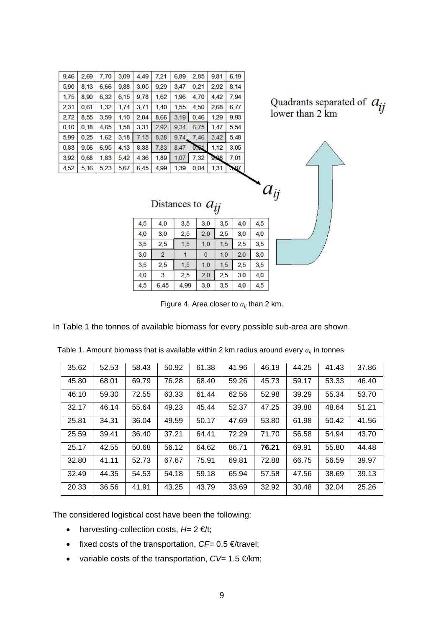| 9,46  | 2,69 | 7,70 | 3,09 | 4,49 | 7,21 | 6,89  | 2,85 | 9,81 | 6,19 |
|-------|------|------|------|------|------|-------|------|------|------|
| 5,90  | 8,13 | 6,66 | 9,88 | 3,05 | 9,29 | 3,47  | 0,21 | 2,92 | 8,14 |
| 1,75  | 8,90 | 6,32 | 6,15 | 9,78 | 1,62 | 1,96  | 4,70 | 4,42 | 7,94 |
| 2,31  | 0,61 | 1,32 | 1,74 | 3,71 | 1.40 | 1,55  | 4,50 | 2,68 | 6,77 |
| 2,72  | 8,55 | 3,59 | 1,10 | 2,04 | 8,66 | 3,19  | 0,46 | 1,29 | 9.93 |
| 0, 10 | 0,18 | 4,65 | 1,58 | 3,31 | 2,92 | 9,34  | 6,75 | 1,47 | 5,54 |
| 5,99  | 0,25 | 1,62 | 3,18 | 7.15 | 8,38 | 9.74. | 7,46 | 3.42 | 5,48 |
| 0,83  | 9,56 | 6.95 | 4,13 | 8,38 | 7,83 | 8,47  | 0,51 | 1,12 | 3,05 |
| 3,92  | 0.68 | 1,83 | 5,42 | 4,36 | 1,89 | 1,07  | 7,32 | 9,08 | 7,01 |
| 4,52  | 5,16 | 5,23 | 5,67 | 6,45 | 4,99 | 1,39  | 0,04 | 1,31 | 3,87 |

Quadrants separated of  $a_{ij}$ <br>lower than 2 km

 $a_{ij}$ 

| Distances to $a_{ij}$ |  |  |
|-----------------------|--|--|
|-----------------------|--|--|

| 4,5 | 4,0            | 3.5  | 3,0 | 3,5 | 4,0 | 4,5 |
|-----|----------------|------|-----|-----|-----|-----|
| 4,0 | 3,0            | 2,5  | 2,0 | 2,5 | 3,0 | 4,0 |
| 3,5 | 2,5            | 1.5  | 1.0 | 1.5 | 2,5 | 3,5 |
| 3,0 | $\overline{2}$ |      | 0   | 1.0 | 2,0 | 3,0 |
| 3,5 | 2,5            | 1,5  | 1.0 | 1,5 | 2,5 | 3,5 |
| 4,0 | 3              | 2,5  | 2,0 | 2.5 | 3.0 | 4,0 |
| 4,5 | 6,45           | 4,99 | 3,0 | 3,5 | 4,0 | 4,5 |

Figure 4. Area closer to *aij* than 2 km.

In Table 1 the tonnes of available biomass for every possible sub-area are shown.

| 35.62 | 52.53 | 58.43 | 50.92 | 61.38 | 41.96 | 46.19 | 44.25 | 41.43 | 37.86 |
|-------|-------|-------|-------|-------|-------|-------|-------|-------|-------|
| 45.80 | 68.01 | 69.79 | 76.28 | 68.40 | 59.26 | 45.73 | 59.17 | 53.33 | 46.40 |
| 46.10 | 59.30 | 72.55 | 63.33 | 61.44 | 62.56 | 52.98 | 39.29 | 55.34 | 53.70 |
| 32.17 | 46.14 | 55.64 | 49.23 | 45.44 | 52.37 | 47.25 | 39.88 | 48.64 | 51.21 |
| 25.81 | 34.31 | 36.04 | 49.59 | 50.17 | 47.69 | 53.80 | 61.98 | 50.42 | 41.56 |
| 25.59 | 39.41 | 36.40 | 37.21 | 64.41 | 72.29 | 71.70 | 56.58 | 54.94 | 43.70 |
| 25.17 | 42.55 | 50.68 | 56.12 | 64.62 | 86.71 | 76.21 | 69.91 | 55.80 | 44.48 |
| 32.80 | 41.11 | 52.73 | 67.67 | 75.91 | 69.81 | 72.88 | 66.75 | 56.59 | 39.97 |
| 32.49 | 44.35 | 54.53 | 54.18 | 59.18 | 65.94 | 57.58 | 47.56 | 38.69 | 39.13 |
| 20.33 | 36.56 | 41.91 | 43.25 | 43.79 | 33.69 | 32.92 | 30.48 | 32.04 | 25.26 |

Table 1. Amount biomass that is available within 2 km radius around every  $a_{ij}$  in tonnes

The considered logistical cost have been the following:

- harvesting-collection costs, *H=* 2 €/t;
- fixed costs of the transportation, *CF=* 0.5 €/travel;
- variable costs of the transportation, *CV=* 1.5 €/km;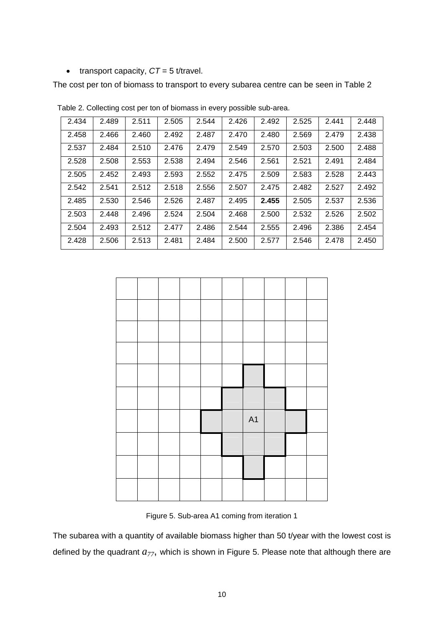• transport capacity,  $CT = 5$  t/travel.

The cost per ton of biomass to transport to every subarea centre can be seen in Table 2

| 2.434 | 2.489 | 2.511 | 2.505 | 2.544 | 2.426 | 2.492 | 2.525 | 2.441 | 2.448 |
|-------|-------|-------|-------|-------|-------|-------|-------|-------|-------|
| 2.458 | 2.466 | 2.460 | 2.492 | 2.487 | 2.470 | 2.480 | 2.569 | 2.479 | 2.438 |
| 2.537 | 2.484 | 2.510 | 2.476 | 2.479 | 2.549 | 2.570 | 2.503 | 2.500 | 2.488 |
| 2.528 | 2.508 | 2.553 | 2.538 | 2.494 | 2.546 | 2.561 | 2.521 | 2.491 | 2.484 |
| 2.505 | 2.452 | 2.493 | 2.593 | 2.552 | 2.475 | 2.509 | 2.583 | 2.528 | 2.443 |
| 2.542 | 2.541 | 2.512 | 2.518 | 2.556 | 2.507 | 2.475 | 2.482 | 2.527 | 2.492 |
| 2.485 | 2.530 | 2.546 | 2.526 | 2.487 | 2.495 | 2.455 | 2.505 | 2.537 | 2.536 |
| 2.503 | 2.448 | 2.496 | 2.524 | 2.504 | 2.468 | 2.500 | 2.532 | 2.526 | 2.502 |
| 2.504 | 2.493 | 2.512 | 2.477 | 2.486 | 2.544 | 2.555 | 2.496 | 2.386 | 2.454 |
| 2.428 | 2.506 | 2.513 | 2.481 | 2.484 | 2.500 | 2.577 | 2.546 | 2.478 | 2.450 |

Table 2. Collecting cost per ton of biomass in every possible sub-area.



Figure 5. Sub-area A1 coming from iteration 1

The subarea with a quantity of available biomass higher than 50 t/year with the lowest cost is defined by the quadrant  $a_{77}$ , which is shown in Figure 5. Please note that although there are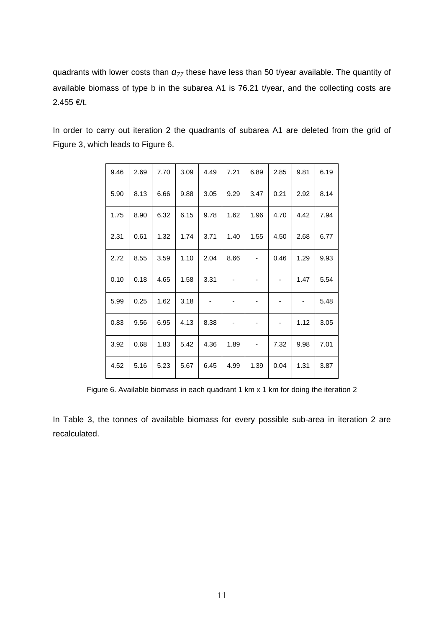quadrants with lower costs than  $a_{77}$  these have less than 50 t/year available. The quantity of available biomass of type b in the subarea A1 is 76.21 t/year, and the collecting costs are 2.455 €/t.

| 9.46 | 2.69 | 7.70 | 3.09 | 4.49 | 7.21 | 6.89 | 2.85 | 9.81 | 6.19 |
|------|------|------|------|------|------|------|------|------|------|
| 5.90 | 8.13 | 6.66 | 9.88 | 3.05 | 9.29 | 3.47 | 0.21 | 2.92 | 8.14 |
| 1.75 | 8.90 | 6.32 | 6.15 | 9.78 | 1.62 | 1.96 | 4.70 | 4.42 | 7.94 |
| 2.31 | 0.61 | 1.32 | 1.74 | 3.71 | 1.40 | 1.55 | 4.50 | 2.68 | 6.77 |
| 2.72 | 8.55 | 3.59 | 1.10 | 2.04 | 8.66 |      | 0.46 | 1.29 | 9.93 |
| 0.10 | 0.18 | 4.65 | 1.58 | 3.31 |      | -    |      | 1.47 | 5.54 |
| 5.99 | 0.25 | 1.62 | 3.18 |      |      | -    |      | ۰    | 5.48 |
| 0.83 | 9.56 | 6.95 | 4.13 | 8.38 |      |      |      | 1.12 | 3.05 |
| 3.92 | 0.68 | 1.83 | 5.42 | 4.36 | 1.89 | -    | 7.32 | 9.98 | 7.01 |
| 4.52 | 5.16 | 5.23 | 5.67 | 6.45 | 4.99 | 1.39 | 0.04 | 1.31 | 3.87 |

In order to carry out iteration 2 the quadrants of subarea A1 are deleted from the grid of Figure 3, which leads to Figure 6.

Figure 6. Available biomass in each quadrant 1 km x 1 km for doing the iteration 2

In Table 3, the tonnes of available biomass for every possible sub-area in iteration 2 are recalculated.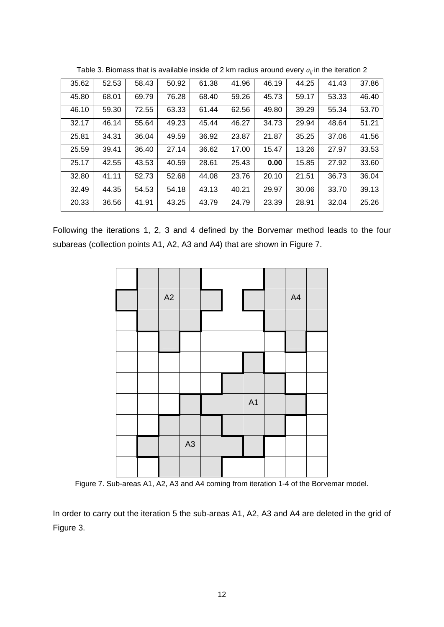| 35.62 | 52.53 | 58.43 | 50.92 | 61.38 | 41.96 | 46.19 | 44.25 | 41.43 | 37.86 |
|-------|-------|-------|-------|-------|-------|-------|-------|-------|-------|
| 45.80 | 68.01 | 69.79 | 76.28 | 68.40 | 59.26 | 45.73 | 59.17 | 53.33 | 46.40 |
| 46.10 | 59.30 | 72.55 | 63.33 | 61.44 | 62.56 | 49.80 | 39.29 | 55.34 | 53.70 |
| 32.17 | 46.14 | 55.64 | 49.23 | 45.44 | 46.27 | 34.73 | 29.94 | 48.64 | 51.21 |
| 25.81 | 34.31 | 36.04 | 49.59 | 36.92 | 23.87 | 21.87 | 35.25 | 37.06 | 41.56 |
| 25.59 | 39.41 | 36.40 | 27.14 | 36.62 | 17.00 | 15.47 | 13.26 | 27.97 | 33.53 |
| 25.17 | 42.55 | 43.53 | 40.59 | 28.61 | 25.43 | 0.00  | 15.85 | 27.92 | 33.60 |
| 32.80 | 41.11 | 52.73 | 52.68 | 44.08 | 23.76 | 20.10 | 21.51 | 36.73 | 36.04 |
| 32.49 | 44.35 | 54.53 | 54.18 | 43.13 | 40.21 | 29.97 | 30.06 | 33.70 | 39.13 |
| 20.33 | 36.56 | 41.91 | 43.25 | 43.79 | 24.79 | 23.39 | 28.91 | 32.04 | 25.26 |

Table 3. Biomass that is available inside of 2 km radius around every  $a_{ii}$  in the iteration 2

Following the iterations 1, 2, 3 and 4 defined by the Borvemar method leads to the four subareas (collection points A1, A2, A3 and A4) that are shown in Figure 7.



Figure 7. Sub-areas A1, A2, A3 and A4 coming from iteration 1-4 of the Borvemar model.

In order to carry out the iteration 5 the sub-areas A1, A2, A3 and A4 are deleted in the grid of Figure 3.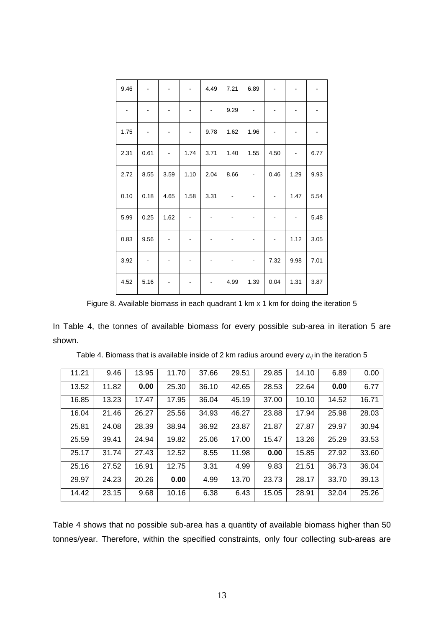| 9.46 |      |      |      | 4.49 | 7.21 | 6.89                         |      |                          |      |
|------|------|------|------|------|------|------------------------------|------|--------------------------|------|
|      |      |      | -    | -    | 9.29 |                              |      |                          |      |
| 1.75 |      | ۰    | -    | 9.78 | 1.62 | 1.96                         |      | -                        |      |
| 2.31 | 0.61 |      | 1.74 | 3.71 | 1.40 | 1.55                         | 4.50 |                          | 6.77 |
| 2.72 | 8.55 | 3.59 | 1.10 | 2.04 | 8.66 | $\qquad \qquad \blacksquare$ | 0.46 | 1.29                     | 9.93 |
| 0.10 | 0.18 | 4.65 | 1.58 | 3.31 |      |                              |      | 1.47                     | 5.54 |
| 5.99 | 0.25 | 1.62 |      |      |      | -                            |      | $\overline{\phantom{a}}$ | 5.48 |
| 0.83 | 9.56 |      |      |      |      |                              |      | 1.12                     | 3.05 |
| 3.92 |      | -    | -    | -    | -    | $\qquad \qquad \blacksquare$ | 7.32 | 9.98                     | 7.01 |
| 4.52 | 5.16 |      |      |      | 4.99 | 1.39                         | 0.04 | 1.31                     | 3.87 |

Figure 8. Available biomass in each quadrant 1 km x 1 km for doing the iteration 5

In Table 4, the tonnes of available biomass for every possible sub-area in iteration 5 are shown.

| 11.21 | 9.46  | 13.95 | 11.70 | 37.66 | 29.51 | 29.85 | 14.10 | 6.89  | 0.00  |
|-------|-------|-------|-------|-------|-------|-------|-------|-------|-------|
| 13.52 | 11.82 | 0.00  | 25.30 | 36.10 | 42.65 | 28.53 | 22.64 | 0.00  | 6.77  |
| 16.85 | 13.23 | 17.47 | 17.95 | 36.04 | 45.19 | 37.00 | 10.10 | 14.52 | 16.71 |
| 16.04 | 21.46 | 26.27 | 25.56 | 34.93 | 46.27 | 23.88 | 17.94 | 25.98 | 28.03 |
| 25.81 | 24.08 | 28.39 | 38.94 | 36.92 | 23.87 | 21.87 | 27.87 | 29.97 | 30.94 |
| 25.59 | 39.41 | 24.94 | 19.82 | 25.06 | 17.00 | 15.47 | 13.26 | 25.29 | 33.53 |
| 25.17 | 31.74 | 27.43 | 12.52 | 8.55  | 11.98 | 0.00  | 15.85 | 27.92 | 33.60 |
| 25.16 | 27.52 | 16.91 | 12.75 | 3.31  | 4.99  | 9.83  | 21.51 | 36.73 | 36.04 |
| 29.97 | 24.23 | 20.26 | 0.00  | 4.99  | 13.70 | 23.73 | 28.17 | 33.70 | 39.13 |
| 14.42 | 23.15 | 9.68  | 10.16 | 6.38  | 6.43  | 15.05 | 28.91 | 32.04 | 25.26 |

Table 4. Biomass that is available inside of 2 km radius around every  $a_{ij}$  in the iteration 5

Table 4 shows that no possible sub-area has a quantity of available biomass higher than 50 tonnes/year. Therefore, within the specified constraints, only four collecting sub-areas are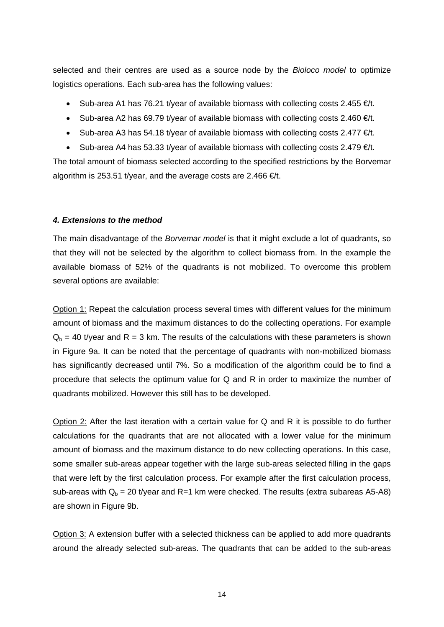selected and their centres are used as a source node by the *Bioloco model* to optimize logistics operations. Each sub-area has the following values:

- Sub-area A1 has 76.21 t/year of available biomass with collecting costs 2.455  $\epsilon/t$ .
- Sub-area A2 has 69.79 t/year of available biomass with collecting costs 2.460  $\epsilon/t$ .
- Sub-area A3 has 54.18 t/year of available biomass with collecting costs 2.477  $\epsilon/t$ .
- Sub-area A4 has 53.33 t/year of available biomass with collecting costs 2.479  $\infty$ /t.

The total amount of biomass selected according to the specified restrictions by the Borvemar algorithm is 253.51 t/year, and the average costs are 2.466  $\in$ /t.

#### *4. Extensions to the method*

The main disadvantage of the *Borvemar model* is that it might exclude a lot of quadrants, so that they will not be selected by the algorithm to collect biomass from. In the example the available biomass of 52% of the quadrants is not mobilized. To overcome this problem several options are available:

Option 1: Repeat the calculation process several times with different values for the minimum amount of biomass and the maximum distances to do the collecting operations. For example  $Q<sub>b</sub> = 40$  t/year and R = 3 km. The results of the calculations with these parameters is shown in Figure 9a. It can be noted that the percentage of quadrants with non-mobilized biomass has significantly decreased until 7%. So a modification of the algorithm could be to find a procedure that selects the optimum value for Q and R in order to maximize the number of quadrants mobilized. However this still has to be developed.

Option 2: After the last iteration with a certain value for Q and R it is possible to do further calculations for the quadrants that are not allocated with a lower value for the minimum amount of biomass and the maximum distance to do new collecting operations. In this case, some smaller sub-areas appear together with the large sub-areas selected filling in the gaps that were left by the first calculation process. For example after the first calculation process, sub-areas with  $Q_b = 20$  t/year and R=1 km were checked. The results (extra subareas A5-A8) are shown in Figure 9b.

Option 3: A extension buffer with a selected thickness can be applied to add more quadrants around the already selected sub-areas. The quadrants that can be added to the sub-areas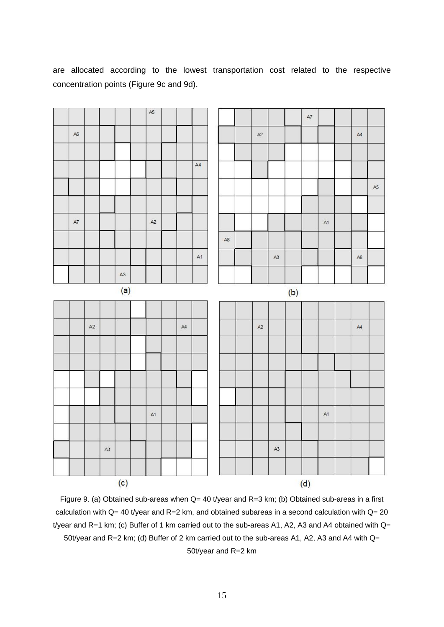|      |    |      |     | A5            |      |    |                        |               |               |     |               |    |    |      |
|------|----|------|-----|---------------|------|----|------------------------|---------------|---------------|-----|---------------|----|----|------|
|      |    |      |     |               |      |    |                        |               |               |     | $\mathsf{A}7$ |    |    |      |
| A6   |    |      |     |               |      |    |                        | $A2$          |               |     |               |    | AA |      |
|      |    |      |     |               |      |    |                        |               |               |     |               |    |    |      |
|      |    |      |     |               |      | A4 |                        |               |               |     |               |    |    |      |
|      |    |      |     |               |      |    |                        |               |               |     |               |    |    | $A5$ |
|      |    |      |     |               |      |    |                        |               |               |     |               |    |    |      |
| $A7$ |    |      |     | $\mathsf{A2}$ |      |    |                        |               |               |     |               | A1 |    |      |
|      |    |      |     |               |      |    |                        |               |               |     |               |    |    |      |
|      |    |      |     |               |      |    | $\mathsf{A}\mathsf{B}$ |               |               |     |               |    |    |      |
|      |    |      |     |               |      | A1 |                        |               | A3            |     |               |    | A6 |      |
|      |    |      | A3  |               |      |    |                        |               |               |     |               |    |    |      |
|      |    |      | (a) |               |      |    |                        |               |               | (b) |               |    |    |      |
|      |    |      |     |               |      |    |                        |               |               |     |               |    |    |      |
|      | A2 |      |     |               | $A4$ |    |                        | $\mathsf{A2}$ |               |     |               |    | AA |      |
|      |    |      |     |               |      |    |                        |               |               |     |               |    |    |      |
|      |    |      |     |               |      |    |                        |               |               |     |               |    |    |      |
|      |    |      |     |               |      |    |                        |               |               |     |               |    |    |      |
|      |    |      |     |               |      |    |                        |               |               |     |               |    |    |      |
|      |    |      |     |               |      |    |                        |               |               |     |               |    |    |      |
|      |    |      |     | A1            |      |    |                        |               |               |     |               | A1 |    |      |
|      |    |      |     |               |      |    |                        |               |               |     |               |    |    |      |
|      |    | $A3$ |     |               |      |    |                        |               | $\mathsf{A}3$ |     |               |    |    |      |
|      |    |      |     |               |      |    |                        |               |               |     |               |    |    |      |
|      |    |      | (c) |               |      |    |                        |               |               |     | (d)           |    |    |      |

are allocated according to the lowest transportation cost related to the respective concentration points (Figure 9c and 9d).

Figure 9. (a) Obtained sub-areas when Q= 40 t/year and R=3 km; (b) Obtained sub-areas in a first calculation with Q= 40 t/year and R=2 km, and obtained subareas in a second calculation with Q= 20 t/year and R=1 km; (c) Buffer of 1 km carried out to the sub-areas A1, A2, A3 and A4 obtained with Q= 50t/year and R=2 km; (d) Buffer of 2 km carried out to the sub-areas A1, A2, A3 and A4 with Q= 50t/year and R=2 km